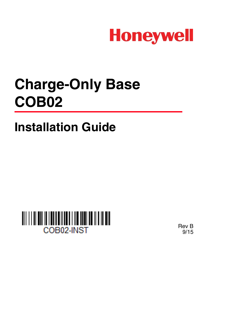

# **Charge-Only Base COB02**

**Installation Guide**



Rev B 9/15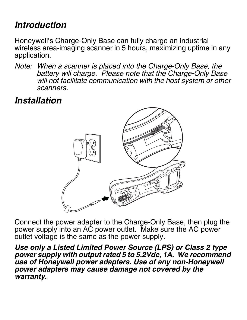#### *Introduction*

Honeywell's Charge-Only Base can fully charge an industrial wireless area-imaging scanner in 5 hours, maximizing uptime in any application.

*Note: When a scanner is placed into the Charge-Only Base, the battery will charge. Please note that the Charge-Only Base will not facilitate communication with the host system or other scanners.*

#### *Installation*



Connect the power adapter to the Charge-Only Base, then plug the power supply into an AC power outlet. Make sure the AC power outlet voltage is the same as the power supply.

*Use only a Listed Limited Power Source (LPS) or Class 2 type power supply with output rated 5 to 5.2Vdc, 1A. We recommend use of Honeywell power adapters. Use of any non-Honeywell power adapters may cause damage not covered by the warranty.*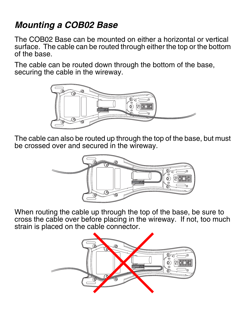## *Mounting a COB02 Base*

The COB02 Base can be mounted on either a horizontal or vertical surface. The cable can be routed through either the top or the bottom of the base.

The cable can be routed down through the bottom of the base, securing the cable in the wireway.



The cable can also be routed up through the top of the base, but must be crossed over and secured in the wireway.



When routing the cable up through the top of the base, be sure to cross the cable over before placing in the wireway. If not, too much strain is placed on the cable connector.

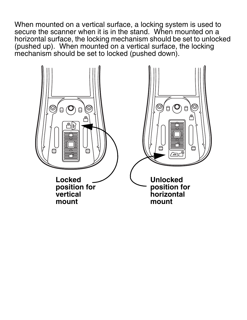When mounted on a vertical surface, a locking system is used to secure the scanner when it is in the stand. When mounted on a horizontal surface, the locking mechanism should be set to unlocked (pushed up). When mounted on a vertical surface, the locking mechanism should be set to locked (pushed down).

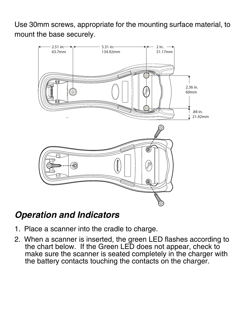Use 30mm screws, appropriate for the mounting surface material, to mount the base securely.



#### *Operation and Indicators*

- 1. Place a scanner into the cradle to charge.
- 2. When a scanner is inserted, the green LED flashes according to the chart below. If the Green LED does not appear, check to make sure the scanner is seated completely in the charger with the battery contacts touching the contacts on the charger.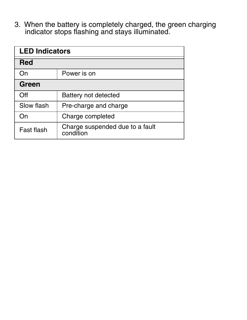3. When the battery is completely charged, the green charging indicator stops flashing and stays illuminated.

| <b>LED Indicators</b> |                                              |  |
|-----------------------|----------------------------------------------|--|
| Red                   |                                              |  |
| On                    | Power is on                                  |  |
| Green                 |                                              |  |
| Off                   | Battery not detected                         |  |
| Slow flash            | Pre-charge and charge                        |  |
| On                    | Charge completed                             |  |
| Fast flash            | Charge suspended due to a fault<br>condition |  |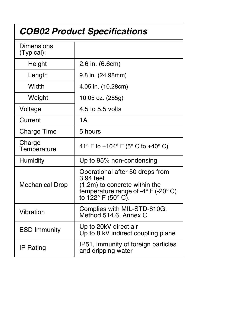| <b>COB02 Product Specifications</b> |                                                                                                                                                              |  |
|-------------------------------------|--------------------------------------------------------------------------------------------------------------------------------------------------------------|--|
| Dimensions<br>(Typical):            |                                                                                                                                                              |  |
| Height                              | 2.6 in. (6.6cm)                                                                                                                                              |  |
| Length                              | 9.8 in. (24.98mm)                                                                                                                                            |  |
| Width                               | 4.05 in. (10.28cm)                                                                                                                                           |  |
| Weight                              | 10.05 oz. (285g)                                                                                                                                             |  |
| Voltage                             | 4.5 to 5.5 volts                                                                                                                                             |  |
| Current                             | 1A                                                                                                                                                           |  |
| Charge Time                         | 5 hours                                                                                                                                                      |  |
| Charge<br>Temperature               | 41° F to +104° F (5° C to +40° C)                                                                                                                            |  |
| Humidity                            | Up to 95% non-condensing                                                                                                                                     |  |
| <b>Mechanical Drop</b>              | Operational after 50 drops from<br>3.94 feet<br>(1.2m) to concrete within the<br>temperature range of -4 $\degree$ F (-20 $\degree$ C)<br>to 122° F (50° C). |  |
| Vibration                           | Complies with MIL-STD-810G,<br>Method 514.6, Annex C                                                                                                         |  |
| <b>ESD Immunity</b>                 | Up to 20kV direct air<br>Up to 8 kV indirect coupling plane                                                                                                  |  |
| <b>IP Rating</b>                    | IP51, immunity of foreign particles<br>and dripping water                                                                                                    |  |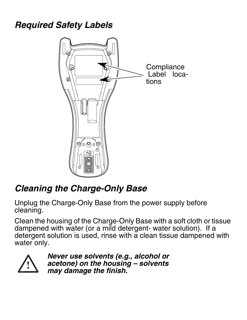# *Required Safety Labels*



#### *Cleaning the Charge-Only Base*

Unplug the Charge-Only Base from the power supply before cleaning.

Clean the housing of the Charge-Only Base with a soft cloth or tissue dampened with water (or a mild detergent- water solution). If a detergent solution is used, rinse with a clean tissue dampened with water only.



*Never use solvents (e.g., alcohol or acetone) on the housing – solvents may damage the finish.*